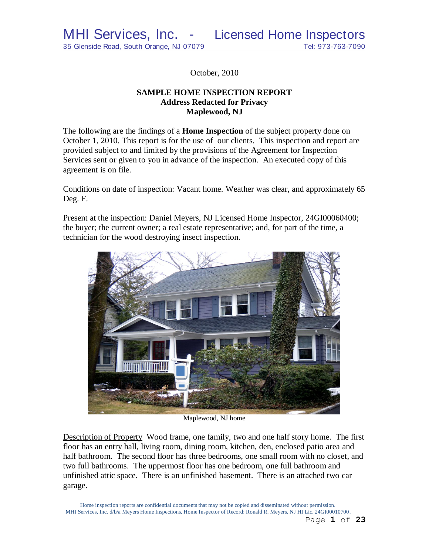October, 2010

### **SAMPLE HOME INSPECTION REPORT Address Redacted for Privacy Maplewood, NJ**

The following are the findings of a **Home Inspection** of the subject property done on October 1, 2010. This report is for the use of our clients. This inspection and report are provided subject to and limited by the provisions of the Agreement for Inspection Services sent or given to you in advance of the inspection. An executed copy of this agreement is on file.

Conditions on date of inspection: Vacant home. Weather was clear, and approximately 65 Deg. F.

Present at the inspection: Daniel Meyers, NJ Licensed Home Inspector, 24GI00060400; the buyer; the current owner; a real estate representative; and, for part of the time, a technician for the wood destroying insect inspection.



Maplewood, NJ home

Description of Property Wood frame, one family, two and one half story home. The first floor has an entry hall, living room, dining room, kitchen, den, enclosed patio area and half bathroom. The second floor has three bedrooms, one small room with no closet, and two full bathrooms. The uppermost floor has one bedroom, one full bathroom and unfinished attic space. There is an unfinished basement. There is an attached two car garage.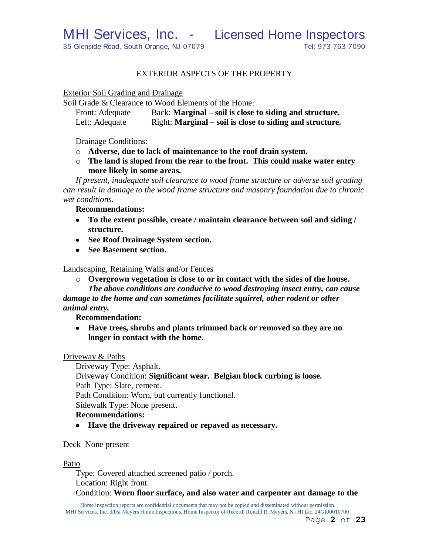#### EXTERIOR ASPECTS OF THE PROPERTY

Exterior Soil Grading and Drainage

Soil Grade & Clearance to Wood Elements of the Home:

| Front: Adequate | Back: Marginal – soil is close to siding and structure.  |
|-----------------|----------------------------------------------------------|
| Left: Adequate  | Right: Marginal – soil is close to siding and structure. |

Drainage Conditions:

- o **Adverse, due to lack of maintenance to the roof drain system.**
- o **The land is sloped from the rear to the front. This could make water entry more likely in some areas.**

*If present, inadequate soil clearance to wood frame structure or adverse soil grading can result in damage to the wood frame structure and masonry foundation due to chronic wet conditions.*

**Recommendations:**

- **To the extent possible, create / maintain clearance between soil and siding / structure.**
- **See Roof Drainage System section.**
- **See Basement section.**

Landscaping, Retaining Walls and/or Fences

o **Overgrown vegetation is close to or in contact with the sides of the house.**

*The above conditions are conducive to wood destroying insect entry, can cause damage to the home and can sometimes facilitate squirrel, other rodent or other animal entry.*

**Recommendation:**

**Have trees, shrubs and plants trimmed back or removed so they are no longer in contact with the home.**

#### Driveway & Paths

Driveway Type: Asphalt. Driveway Condition: **Significant wear. Belgian block curbing is loose.** Path Type: Slate, cement. Path Condition: Worn, but currently functional. Sidewalk Type: None present. **Recommendations:**

**Have the driveway repaired or repaved as necessary.**

Deck None present

Patio

Type: Covered attached screened patio / porch. Location: Right front.

Condition: **Worn floor surface, and also water and carpenter ant damage to the**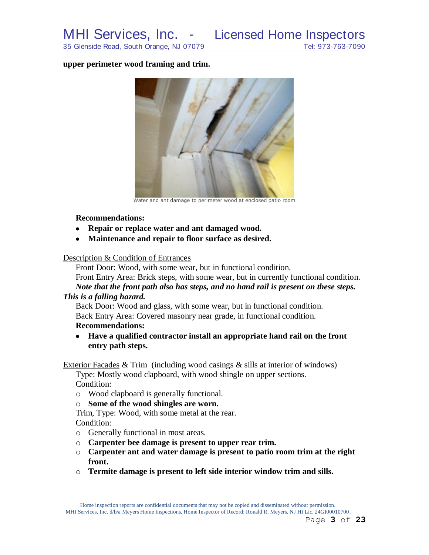#### **upper perimeter wood framing and trim.**



Water and ant damage to perimeter wood at enclosed patio room

#### **Recommendations:**

- **Repair or replace water and ant damaged wood.**
- $\bullet$ **Maintenance and repair to floor surface as desired.**

#### Description & Condition of Entrances

Front Door: Wood, with some wear, but in functional condition. Front Entry Area: Brick steps, with some wear, but in currently functional condition. *Note that the front path also has steps, and no hand rail is present on these steps.* 

#### *This is a falling hazard.*

Back Door: Wood and glass, with some wear, but in functional condition. Back Entry Area: Covered masonry near grade, in functional condition.

### **Recommendations:**

**Have a qualified contractor install an appropriate hand rail on the front entry path steps.**

Exterior Facades & Trim (including wood casings & sills at interior of windows)

Type: Mostly wood clapboard, with wood shingle on upper sections. Condition:

o Wood clapboard is generally functional.

#### o **Some of the wood shingles are worn.**

Trim, Type: Wood, with some metal at the rear.

Condition:

- o Generally functional in most areas.
- o **Carpenter bee damage is present to upper rear trim.**
- o **Carpenter ant and water damage is present to patio room trim at the right front.**
- o **Termite damage is present to left side interior window trim and sills.**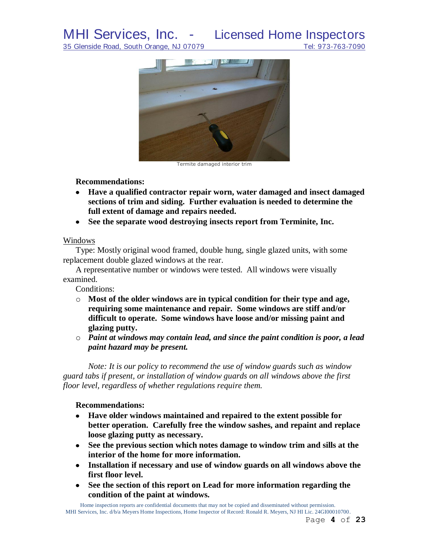## MHI Services, Inc. - Licensed Home Inspectors

35 Glenside Road, South Orange, NJ 07079 Tel: 973-763-7090



Termite damaged interior trim

#### **Recommendations:**

- **Have a qualified contractor repair worn, water damaged and insect damaged sections of trim and siding. Further evaluation is needed to determine the full extent of damage and repairs needed.**
- **See the separate wood destroying insects report from Terminite, Inc.**

#### Windows

Type: Mostly original wood framed, double hung, single glazed units, with some replacement double glazed windows at the rear.

A representative number or windows were tested. All windows were visually examined.

Conditions:

- o **Most of the older windows are in typical condition for their type and age, requiring some maintenance and repair. Some windows are stiff and/or difficult to operate. Some windows have loose and/or missing paint and glazing putty.**
- o *Paint at windows may contain lead, and since the paint condition is poor, a lead paint hazard may be present.*

*Note: It is our policy to recommend the use of window guards such as window guard tabs if present, or installation of window guards on all windows above the first floor level, regardless of whether regulations require them.*

### **Recommendations:**

- **Have older windows maintained and repaired to the extent possible for better operation. Carefully free the window sashes, and repaint and replace loose glazing putty as necessary.**
- **See the previous section which notes damage to window trim and sills at the interior of the home for more information.**
- **Installation if necessary and use of window guards on all windows above the first floor level.**
- **See the section of this report on Lead for more information regarding the condition of the paint at windows.**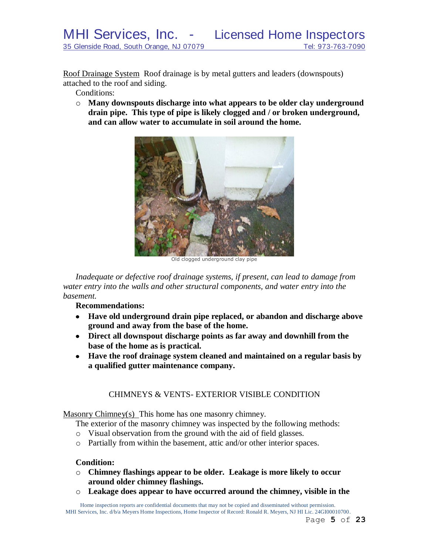Roof Drainage System Roof drainage is by metal gutters and leaders (downspouts) attached to the roof and siding.

Conditions:

o **Many downspouts discharge into what appears to be older clay underground drain pipe. This type of pipe is likely clogged and / or broken underground, and can allow water to accumulate in soil around the home.**



Old clogged underground clay pipe

*Inadequate or defective roof drainage systems, if present, can lead to damage from water entry into the walls and other structural components, and water entry into the basement.* 

**Recommendations:**

- **Have old underground drain pipe replaced, or abandon and discharge above ground and away from the base of the home.**
- **Direct all downspout discharge points as far away and downhill from the base of the home as is practical.**
- **Have the roof drainage system cleaned and maintained on a regular basis by a qualified gutter maintenance company.**

### CHIMNEYS & VENTS- EXTERIOR VISIBLE CONDITION

Masonry Chimney(s) This home has one masonry chimney.

The exterior of the masonry chimney was inspected by the following methods:

- o Visual observation from the ground with the aid of field glasses.
- o Partially from within the basement, attic and/or other interior spaces.

#### **Condition:**

- o **Chimney flashings appear to be older. Leakage is more likely to occur around older chimney flashings.**
- o **Leakage does appear to have occurred around the chimney, visible in the**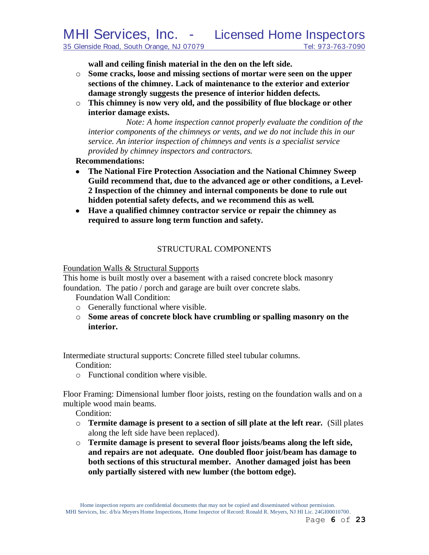**wall and ceiling finish material in the den on the left side.**

- o **Some cracks, loose and missing sections of mortar were seen on the upper sections of the chimney. Lack of maintenance to the exterior and exterior damage strongly suggests the presence of interior hidden defects.**
- o **This chimney is now very old, and the possibility of flue blockage or other interior damage exists.**

*Note: A home inspection cannot properly evaluate the condition of the interior components of the chimneys or vents, and we do not include this in our service. An interior inspection of chimneys and vents is a specialist service provided by chimney inspectors and contractors.*

**Recommendations:**

- **The National Fire Protection Association and the National Chimney Sweep Guild recommend that, due to the advanced age or other conditions, a Level-2 Inspection of the chimney and internal components be done to rule out hidden potential safety defects, and we recommend this as well***.*
- **Have a qualified chimney contractor service or repair the chimney as required to assure long term function and safety.**

### STRUCTURAL COMPONENTS

Foundation Walls & Structural Supports

This home is built mostly over a basement with a raised concrete block masonry foundation. The patio / porch and garage are built over concrete slabs.

Foundation Wall Condition:

- o Generally functional where visible.
- o **Some areas of concrete block have crumbling or spalling masonry on the interior.**

Intermediate structural supports: Concrete filled steel tubular columns.

Condition:

o Functional condition where visible.

Floor Framing: Dimensional lumber floor joists, resting on the foundation walls and on a multiple wood main beams.

Condition:

- o **Termite damage is present to a section of sill plate at the left rear.** (Sill plates along the left side have been replaced).
- o **Termite damage is present to several floor joists/beams along the left side, and repairs are not adequate. One doubled floor joist/beam has damage to both sections of this structural member. Another damaged joist has been only partially sistered with new lumber (the bottom edge).**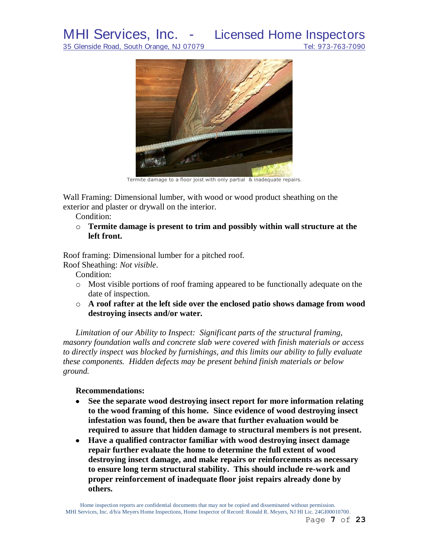# MHI Services, Inc. - Licensed Home Inspectors



Termite damage to a floor joist with only partial & inadequate repairs.

Wall Framing: Dimensional lumber, with wood or wood product sheathing on the exterior and plaster or drywall on the interior.

Condition:

o **Termite damage is present to trim and possibly within wall structure at the left front.**

Roof framing: Dimensional lumber for a pitched roof.

Roof Sheathing: *Not visible*.

Condition:

- o Most visible portions of roof framing appeared to be functionally adequate on the date of inspection.
- o **A roof rafter at the left side over the enclosed patio shows damage from wood destroying insects and/or water.**

*Limitation of our Ability to Inspect: Significant parts of the structural framing, masonry foundation walls and concrete slab were covered with finish materials or access to directly inspect was blocked by furnishings, and this limits our ability to fully evaluate these components. Hidden defects may be present behind finish materials or below ground.*

#### **Recommendations:**

- $\bullet$ **See the separate wood destroying insect report for more information relating to the wood framing of this home. Since evidence of wood destroying insect infestation was found, then be aware that further evaluation would be required to assure that hidden damage to structural members is not present.**
- **Have a qualified contractor familiar with wood destroying insect damage repair further evaluate the home to determine the full extent of wood destroying insect damage, and make repairs or reinforcements as necessary to ensure long term structural stability. This should include re-work and proper reinforcement of inadequate floor joist repairs already done by others.**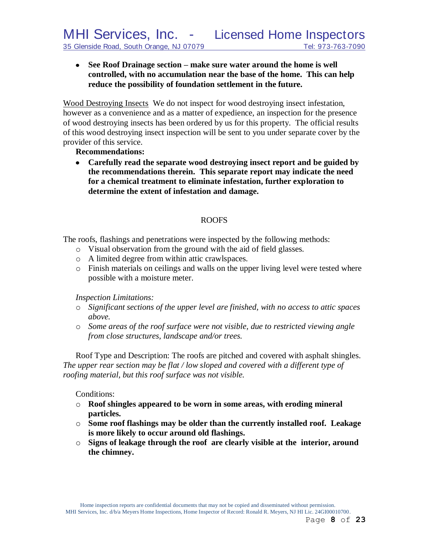#### **See Roof Drainage section – make sure water around the home is well controlled, with no accumulation near the base of the home. This can help reduce the possibility of foundation settlement in the future.**

Wood Destroying Insects We do not inspect for wood destroying insect infestation, however as a convenience and as a matter of expedience, an inspection for the presence of wood destroying insects has been ordered by us for this property. The official results of this wood destroying insect inspection will be sent to you under separate cover by the provider of this service.

#### **Recommendations:**

**Carefully read the separate wood destroying insect report and be guided by the recommendations therein. This separate report may indicate the need for a chemical treatment to eliminate infestation, further exploration to determine the extent of infestation and damage.**

#### ROOFS

The roofs, flashings and penetrations were inspected by the following methods:

- o Visual observation from the ground with the aid of field glasses.
- o A limited degree from within attic crawlspaces.
- o Finish materials on ceilings and walls on the upper living level were tested where possible with a moisture meter.

#### *Inspection Limitations:*

- o *Significant sections of the upper level are finished, with no access to attic spaces above.*
- o *Some areas of the roof surface were not visible, due to restricted viewing angle from close structures, landscape and/or trees.*

Roof Type and Description: The roofs are pitched and covered with asphalt shingles. *The upper rear section may be flat / low sloped and covered with a different type of roofing material, but this roof surface was not visible.*

#### Conditions:

- o **Roof shingles appeared to be worn in some areas, with eroding mineral particles.**
- o **Some roof flashings may be older than the currently installed roof. Leakage is more likely to occur around old flashings.**
- o **Signs of leakage through the roof are clearly visible at the interior, around the chimney.**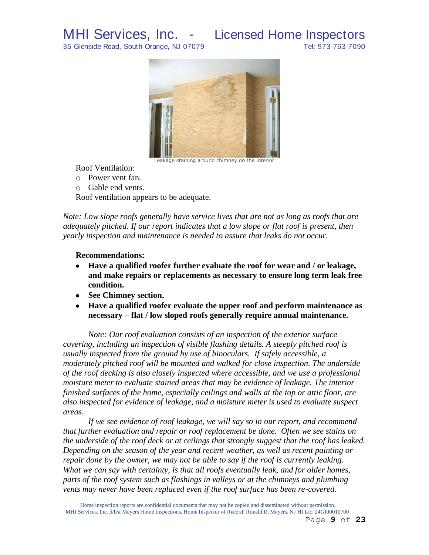

Leakage staining around chimney on the interior

Roof Ventilation:

- o Power vent fan.
- o Gable end vents.

Roof ventilation appears to be adequate.

*Note: Low slope roofs generally have service lives that are not as long as roofs that are adequately pitched. If our report indicates that a low slope or flat roof is present, then yearly inspection and maintenance is needed to assure that leaks do not occur.*

#### **Recommendations:**

- $\bullet$ **Have a qualified roofer further evaluate the roof for wear and / or leakage, and make repairs or replacements as necessary to ensure long term leak free condition.**
- **See Chimney section.**
- **Have a qualified roofer evaluate the upper roof and perform maintenance as necessary – flat / low sloped roofs generally require annual maintenance.**

*Note: Our roof evaluation consists of an inspection of the exterior surface covering, including an inspection of visible flashing details. A steeply pitched roof is usually inspected from the ground by use of binoculars. If safely accessible, a moderately pitched roof will be mounted and walked for close inspection. The underside of the roof decking is also closely inspected where accessible, and we use a professional moisture meter to evaluate stained areas that may be evidence of leakage. The interior finished surfaces of the home, especially ceilings and walls at the top or attic floor, are also inspected for evidence of leakage, and a moisture meter is used to evaluate suspect areas.*

*If we see evidence of roof leakage, we will say so in our report, and recommend that further evaluation and repair or roof replacement be done. Often we see stains on the underside of the roof deck or at ceilings that strongly suggest that the roof has leaked. Depending on the season of the year and recent weather, as well as recent painting or repair done by the owner, we may not be able to say if the roof is currently leaking. What we can say with certainty, is that all roofs eventually leak, and for older homes, parts of the roof system such as flashings in valleys or at the chimneys and plumbing vents may never have been replaced even if the roof surface has been re-covered.*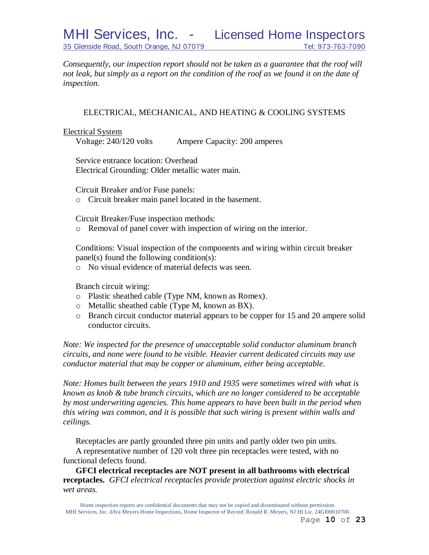*Consequently, our inspection report should not be taken as a guarantee that the roof will not leak, but simply as a report on the condition of the roof as we found it on the date of inspection.*

### ELECTRICAL, MECHANICAL, AND HEATING & COOLING SYSTEMS

Electrical System

Voltage: 240/120 volts Ampere Capacity: 200 amperes

Service entrance location: Overhead Electrical Grounding: Older metallic water main.

Circuit Breaker and/or Fuse panels:

o Circuit breaker main panel located in the basement.

Circuit Breaker/Fuse inspection methods:

o Removal of panel cover with inspection of wiring on the interior.

Conditions: Visual inspection of the components and wiring within circuit breaker panel(s) found the following condition(s):

o No visual evidence of material defects was seen.

Branch circuit wiring:

- o Plastic sheathed cable (Type NM, known as Romex).
- o Metallic sheathed cable (Type M, known as BX).
- o Branch circuit conductor material appears to be copper for 15 and 20 ampere solid conductor circuits.

*Note: We inspected for the presence of unacceptable solid conductor aluminum branch circuits, and none were found to be visible. Heavier current dedicated circuits may use conductor material that may be copper or aluminum, either being acceptable.*

*Note: Homes built between the years 1910 and 1935 were sometimes wired with what is known as knob & tube branch circuits, which are no longer considered to be acceptable by most underwriting agencies. This home appears to have been built in the period when this wiring was common, and it is possible that such wiring is present within walls and ceilings.*

Receptacles are partly grounded three pin units and partly older two pin units. A representative number of 120 volt three pin receptacles were tested, with no

functional defects found.

**GFCI electrical receptacles are NOT present in all bathrooms with electrical receptacles.** *GFCI electrical receptacles provide protection against electric shocks in wet areas.*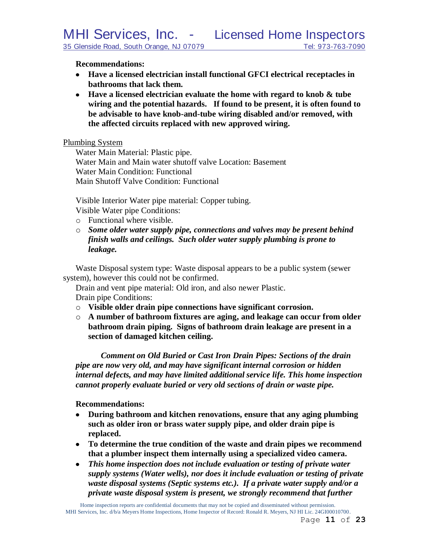#### **Recommendations:**

- **Have a licensed electrician install functional GFCI electrical receptacles in bathrooms that lack them.**
- **Have a licensed electrician evaluate the home with regard to knob & tube wiring and the potential hazards. If found to be present, it is often found to be advisable to have knob-and-tube wiring disabled and/or removed, with the affected circuits replaced with new approved wiring.**

Plumbing System

Water Main Material: Plastic pipe. Water Main and Main water shutoff valve Location: Basement Water Main Condition: Functional Main Shutoff Valve Condition: Functional

Visible Interior Water pipe material: Copper tubing.

Visible Water pipe Conditions:

- o Functional where visible.
- o *Some older water supply pipe, connections and valves may be present behind finish walls and ceilings. Such older water supply plumbing is prone to leakage.*

Waste Disposal system type: Waste disposal appears to be a public system (sewer system), however this could not be confirmed.

Drain and vent pipe material: Old iron, and also newer Plastic. Drain pipe Conditions:

- o **Visible older drain pipe connections have significant corrosion.**
- o **A number of bathroom fixtures are aging, and leakage can occur from older bathroom drain piping. Signs of bathroom drain leakage are present in a section of damaged kitchen ceiling.**

*Comment on Old Buried or Cast Iron Drain Pipes: Sections of the drain pipe are now very old, and may have significant internal corrosion or hidden internal defects, and may have limited additional service life. This home inspection cannot properly evaluate buried or very old sections of drain or waste pipe.*

#### **Recommendations:**

- **During bathroom and kitchen renovations, ensure that any aging plumbing such as older iron or brass water supply pipe, and older drain pipe is replaced.**
- **To determine the true condition of the waste and drain pipes we recommend that a plumber inspect them internally using a specialized video camera.**
- *This home inspection does not include evaluation or testing of private water supply systems (Water wells), nor does it include evaluation or testing of private waste disposal systems (Septic systems etc.). If a private water supply and/or a private waste disposal system is present, we strongly recommend that further*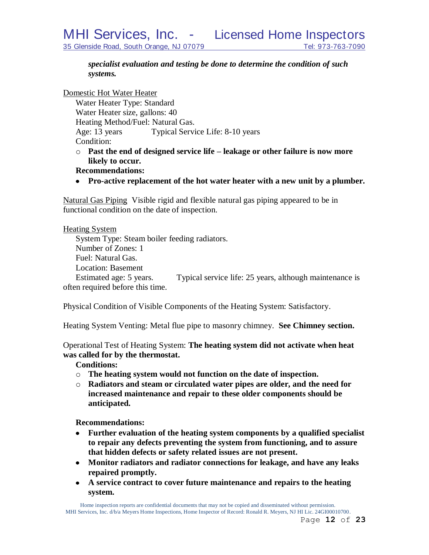*specialist evaluation and testing be done to determine the condition of such systems.*

Domestic Hot Water Heater

Water Heater Type: Standard Water Heater size, gallons: 40 Heating Method/Fuel: Natural Gas. Age: 13 years Typical Service Life: 8-10 years Condition:

- o **Past the end of designed service life – leakage or other failure is now more likely to occur.**
- **Recommendations:**
- **Pro-active replacement of the hot water heater with a new unit by a plumber.**

Natural Gas Piping Visible rigid and flexible natural gas piping appeared to be in functional condition on the date of inspection.

#### Heating System

System Type: Steam boiler feeding radiators. Number of Zones: 1 Fuel: Natural Gas. Location: Basement Estimated age: 5 years. Typical service life: 25 years, although maintenance is often required before this time.

Physical Condition of Visible Components of the Heating System: Satisfactory.

Heating System Venting: Metal flue pipe to masonry chimney. **See Chimney section.**

Operational Test of Heating System: **The heating system did not activate when heat was called for by the thermostat.** 

**Conditions:**

- o **The heating system would not function on the date of inspection.**
- o **Radiators and steam or circulated water pipes are older, and the need for increased maintenance and repair to these older components should be anticipated.**

**Recommendations:**

- **Further evaluation of the heating system components by a qualified specialist to repair any defects preventing the system from functioning, and to assure that hidden defects or safety related issues are not present.**
- **Monitor radiators and radiator connections for leakage, and have any leaks repaired promptly.**
- **A service contract to cover future maintenance and repairs to the heating system.**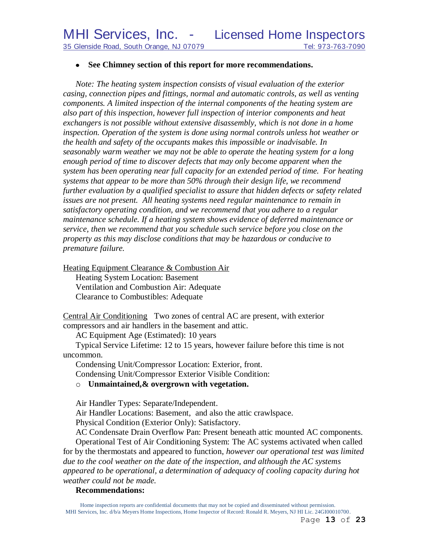#### **See Chimney section of this report for more recommendations.**

*Note: The heating system inspection consists of visual evaluation of the exterior casing, connection pipes and fittings, normal and automatic controls, as well as venting components. A limited inspection of the internal components of the heating system are also part of this inspection, however full inspection of interior components and heat exchangers is not possible without extensive disassembly, which is not done in a home inspection. Operation of the system is done using normal controls unless hot weather or the health and safety of the occupants makes this impossible or inadvisable. In seasonably warm weather we may not be able to operate the heating system for a long enough period of time to discover defects that may only become apparent when the system has been operating near full capacity for an extended period of time. For heating systems that appear to be more than 50% through their design life, we recommend further evaluation by a qualified specialist to assure that hidden defects or safety related issues are not present. All heating systems need regular maintenance to remain in satisfactory operating condition, and we recommend that you adhere to a regular maintenance schedule. If a heating system shows evidence of deferred maintenance or service, then we recommend that you schedule such service before you close on the property as this may disclose conditions that may be hazardous or conducive to premature failure.*

Heating Equipment Clearance & Combustion Air

Heating System Location: Basement Ventilation and Combustion Air: Adequate Clearance to Combustibles: Adequate

Central Air Conditioning Two zones of central AC are present, with exterior compressors and air handlers in the basement and attic.

AC Equipment Age (Estimated): 10 years

Typical Service Lifetime: 12 to 15 years, however failure before this time is not uncommon.

Condensing Unit/Compressor Location: Exterior, front.

Condensing Unit/Compressor Exterior Visible Condition:

#### o **Unmaintained,& overgrown with vegetation.**

Air Handler Types: Separate/Independent.

Air Handler Locations: Basement, and also the attic crawlspace.

Physical Condition (Exterior Only): Satisfactory.

AC Condensate Drain Overflow Pan: Present beneath attic mounted AC components.

Operational Test of Air Conditioning System: The AC systems activated when called for by the thermostats and appeared to function, *however our operational test was limited due to the cool weather on the date of the inspection, and although the AC systems appeared to be operational, a determination of adequacy of cooling capacity during hot weather could not be made.*

### **Recommendations:**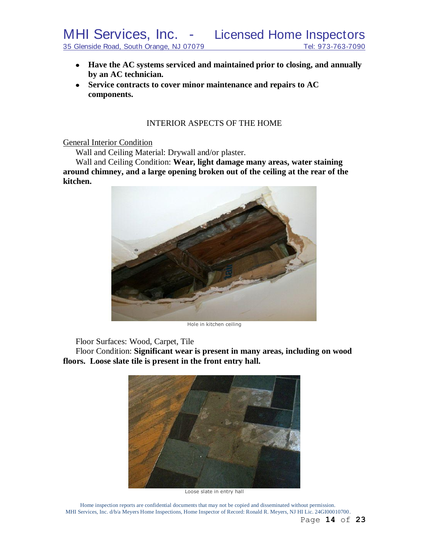- **Have the AC systems serviced and maintained prior to closing, and annually by an AC technician.**
- **Service contracts to cover minor maintenance and repairs to AC components.**

#### INTERIOR ASPECTS OF THE HOME

General Interior Condition

Wall and Ceiling Material: Drywall and/or plaster.

Wall and Ceiling Condition: **Wear, light damage many areas, water staining around chimney, and a large opening broken out of the ceiling at the rear of the kitchen.**



Hole in kitchen ceiling

Floor Surfaces: Wood, Carpet, Tile

Floor Condition: **Significant wear is present in many areas, including on wood floors. Loose slate tile is present in the front entry hall.**



Loose slate in entry hall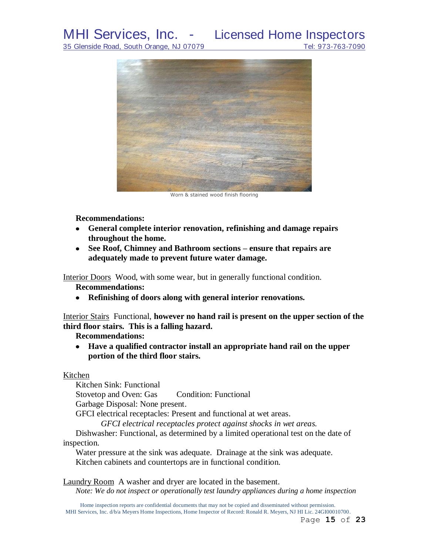

Worn & stained wood finish flooring

#### **Recommendations:**

- **General complete interior renovation, refinishing and damage repairs throughout the home.**
- **See Roof, Chimney and Bathroom sections – ensure that repairs are adequately made to prevent future water damage.**

Interior Doors Wood, with some wear, but in generally functional condition.

#### **Recommendations:**

**Refinishing of doors along with general interior renovations.**

Interior Stairs Functional, **however no hand rail is present on the upper section of the third floor stairs. This is a falling hazard.**

#### **Recommendations:**

**Have a qualified contractor install an appropriate hand rail on the upper portion of the third floor stairs.**

#### Kitchen

Kitchen Sink: Functional Stovetop and Oven: Gas Condition: Functional Garbage Disposal: None present. GFCI electrical receptacles: Present and functional at wet areas.

*GFCI electrical receptacles protect against shocks in wet areas.*

Dishwasher: Functional, as determined by a limited operational test on the date of inspection.

Water pressure at the sink was adequate. Drainage at the sink was adequate. Kitchen cabinets and countertops are in functional condition.

Laundry Room A washer and dryer are located in the basement. *Note: We do not inspect or operationally test laundry appliances during a home inspection*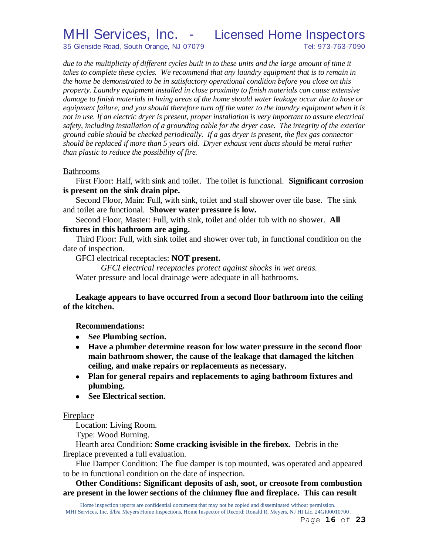35 Glenside Road, South Orange, NJ 07079 Tel: 973-763-7090

due to the multiplicity of different cycles built in to these units and the large amount of time it *takes to complete these cycles. We recommend that any laundry equipment that is to remain in the home be demonstrated to be in satisfactory operational condition before you close on this property. Laundry equipment installed in close proximity to finish materials can cause extensive damage to finish materials in living areas of the home should water leakage occur due to hose or equipment failure, and you should therefore turn off the water to the laundry equipment when it is not in use. If an electric dryer is present, proper installation is very important to assure electrical safety, including installation of a grounding cable for the dryer case. The integrity of the exterior ground cable should be checked periodically. If a gas dryer is present, the flex gas connector should be replaced if more than 5 years old. Dryer exhaust vent ducts should be metal rather than plastic to reduce the possibility of fire.*

#### Bathrooms

First Floor: Half, with sink and toilet. The toilet is functional. **Significant corrosion is present on the sink drain pipe.**

Second Floor, Main: Full, with sink, toilet and stall shower over tile base. The sink and toilet are functional.**Shower water pressure is low.**

Second Floor, Master: Full, with sink, toilet and older tub with no shower. **All fixtures in this bathroom are aging.**

Third Floor: Full, with sink toilet and shower over tub, in functional condition on the date of inspection.

GFCI electrical receptacles: **NOT present.**

*GFCI electrical receptacles protect against shocks in wet areas.* Water pressure and local drainage were adequate in all bathrooms.

#### **Leakage appears to have occurred from a second floor bathroom into the ceiling of the kitchen.**

**Recommendations:**

- **See Plumbing section.**
- **Have a plumber determine reason for low water pressure in the second floor main bathroom shower, the cause of the leakage that damaged the kitchen ceiling, and make repairs or replacements as necessary.**
- **Plan for general repairs and replacements to aging bathroom fixtures and plumbing.**
- **See Electrical section.**

#### Fireplace

Location: Living Room.

Type: Wood Burning.

Hearth area Condition: **Some cracking isvisible in the firebox.** Debris in the fireplace prevented a full evaluation.

Flue Damper Condition: The flue damper is top mounted, was operated and appeared to be in functional condition on the date of inspection.

**Other Conditions: Significant deposits of ash, soot, or creosote from combustion are present in the lower sections of the chimney flue and fireplace. This can result**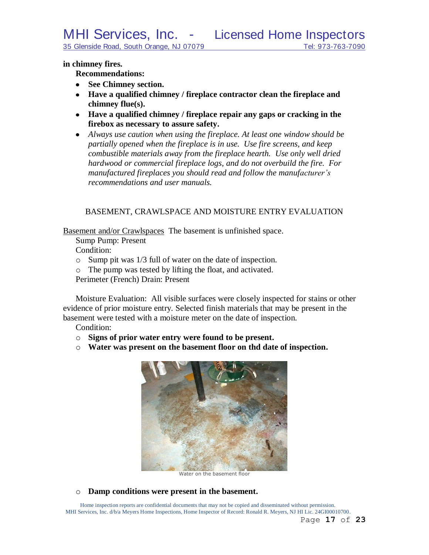**in chimney fires.**

#### **Recommendations:**

- **See Chimney section.**
- **Have a qualified chimney / fireplace contractor clean the fireplace and chimney flue(s).**
- **Have a qualified chimney / fireplace repair any gaps or cracking in the firebox as necessary to assure safety.**
- *Always use caution when using the fireplace. At least one window should be partially opened when the fireplace is in use. Use fire screens, and keep combustible materials away from the fireplace hearth. Use only well dried hardwood or commercial fireplace logs, and do not overbuild the fire. For manufactured fireplaces you should read and follow the manufacturer's recommendations and user manuals.*

#### BASEMENT, CRAWLSPACE AND MOISTURE ENTRY EVALUATION

Basement and/or Crawlspaces The basement is unfinished space.

Sump Pump: Present

Condition:

- o Sump pit was 1/3 full of water on the date of inspection.
- o The pump was tested by lifting the float, and activated.

Perimeter (French) Drain: Present

Moisture Evaluation: All visible surfaces were closely inspected for stains or other evidence of prior moisture entry. Selected finish materials that may be present in the basement were tested with a moisture meter on the date of inspection.

Condition:

- o **Signs of prior water entry were found to be present.**
- o **Water was present on the basement floor on thd date of inspection.**



Water on the basement floor

o **Damp conditions were present in the basement.**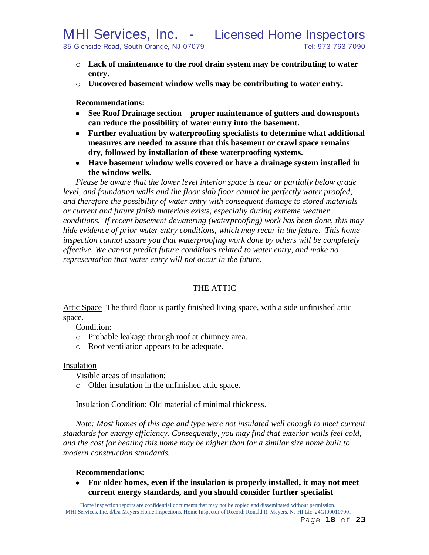- o **Lack of maintenance to the roof drain system may be contributing to water entry.**
- o **Uncovered basement window wells may be contributing to water entry.**

**Recommendations:**

- **See Roof Drainage section – proper maintenance of gutters and downspouts can reduce the possibility of water entry into the basement.**
- **Further evaluation by waterproofing specialists to determine what additional measures are needed to assure that this basement or crawl space remains dry, followed by installation of these waterproofing systems.**
- **Have basement window wells covered or have a drainage system installed in the window wells.**

*Please be aware that the lower level interior space is near or partially below grade level, and foundation walls and the floor slab floor cannot be perfectly water proofed, and therefore the possibility of water entry with consequent damage to stored materials or current and future finish materials exists, especially during extreme weather conditions. If recent basement dewatering (waterproofing) work has been done, this may hide evidence of prior water entry conditions, which may recur in the future. This home inspection cannot assure you that waterproofing work done by others will be completely effective. We cannot predict future conditions related to water entry, and make no representation that water entry will not occur in the future.*

#### THE ATTIC

Attic Space The third floor is partly finished living space, with a side unfinished attic space.

Condition:

- o Probable leakage through roof at chimney area.
- o Roof ventilation appears to be adequate.

#### Insulation

Visible areas of insulation:

o Older insulation in the unfinished attic space.

Insulation Condition: Old material of minimal thickness.

*Note: Most homes of this age and type were not insulated well enough to meet current standards for energy efficiency. Consequently, you may find that exterior walls feel cold, and the cost for heating this home may be higher than for a similar size home built to modern construction standards.*

#### **Recommendations:**

**For older homes, even if the insulation is properly installed, it may not meet current energy standards, and you should consider further specialist**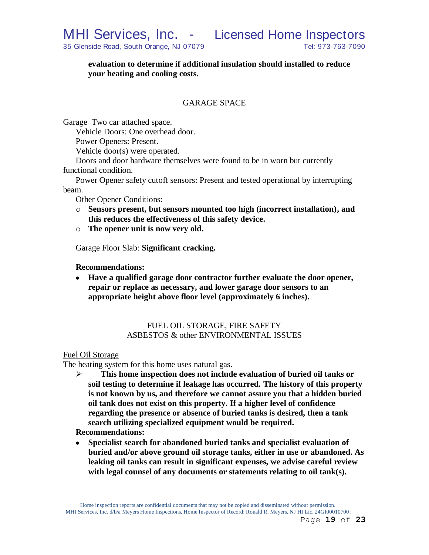**evaluation to determine if additional insulation should installed to reduce your heating and cooling costs.**

#### GARAGE SPACE

Garage Two car attached space.

Vehicle Doors: One overhead door.

Power Openers: Present.

Vehicle door(s) were operated.

Doors and door hardware themselves were found to be in worn but currently functional condition.

Power Opener safety cutoff sensors: Present and tested operational by interrupting beam.

Other Opener Conditions:

- o **Sensors present, but sensors mounted too high (incorrect installation), and this reduces the effectiveness of this safety device.**
- o **The opener unit is now very old.**

Garage Floor Slab: **Significant cracking.**

#### **Recommendations:**

**Have a qualified garage door contractor further evaluate the door opener, repair or replace as necessary, and lower garage door sensors to an appropriate height above floor level (approximately 6 inches).**

#### FUEL OIL STORAGE, FIRE SAFETY ASBESTOS & other ENVIRONMENTAL ISSUES

#### Fuel Oil Storage

The heating system for this home uses natural gas.

 **This home inspection does not include evaluation of buried oil tanks or soil testing to determine if leakage has occurred. The history of this property is not known by us, and therefore we cannot assure you that a hidden buried oil tank does not exist on this property. If a higher level of confidence regarding the presence or absence of buried tanks is desired, then a tank search utilizing specialized equipment would be required.**

**Recommendations:**

**Specialist search for abandoned buried tanks and specialist evaluation of buried and/or above ground oil storage tanks, either in use or abandoned. As leaking oil tanks can result in significant expenses, we advise careful review with legal counsel of any documents or statements relating to oil tank(s).**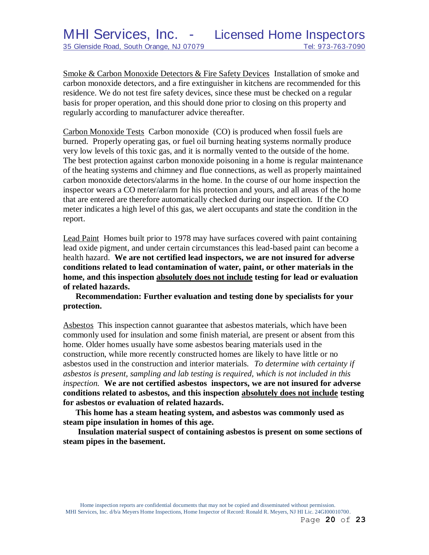Smoke & Carbon Monoxide Detectors & Fire Safety Devices Installation of smoke and carbon monoxide detectors, and a fire extinguisher in kitchens are recommended for this residence. We do not test fire safety devices, since these must be checked on a regular basis for proper operation, and this should done prior to closing on this property and regularly according to manufacturer advice thereafter.

Carbon Monoxide Tests Carbon monoxide (CO) is produced when fossil fuels are burned. Properly operating gas, or fuel oil burning heating systems normally produce very low levels of this toxic gas, and it is normally vented to the outside of the home. The best protection against carbon monoxide poisoning in a home is regular maintenance of the heating systems and chimney and flue connections, as well as properly maintained carbon monoxide detectors/alarms in the home. In the course of our home inspection the inspector wears a CO meter/alarm for his protection and yours, and all areas of the home that are entered are therefore automatically checked during our inspection. If the CO meter indicates a high level of this gas, we alert occupants and state the condition in the report.

Lead Paint Homes built prior to 1978 may have surfaces covered with paint containing lead oxide pigment, and under certain circumstances this lead-based paint can become a health hazard. **We are not certified lead inspectors, we are not insured for adverse conditions related to lead contamination of water, paint, or other materials in the home, and this inspection absolutely does not include testing for lead or evaluation of related hazards.** 

**Recommendation: Further evaluation and testing done by specialists for your protection.**

Asbestos This inspection cannot guarantee that asbestos materials, which have been commonly used for insulation and some finish material, are present or absent from this home. Older homes usually have some asbestos bearing materials used in the construction, while more recently constructed homes are likely to have little or no asbestos used in the construction and interior materials. *To determine with certainty if asbestos is present, sampling and lab testing is required, which is not included in this inspection.* **We are not certified asbestos inspectors, we are not insured for adverse conditions related to asbestos, and this inspection absolutely does not include testing for asbestos or evaluation of related hazards.**

**This home has a steam heating system, and asbestos was commonly used as steam pipe insulation in homes of this age.**

**Insulation material suspect of containing asbestos is present on some sections of steam pipes in the basement.**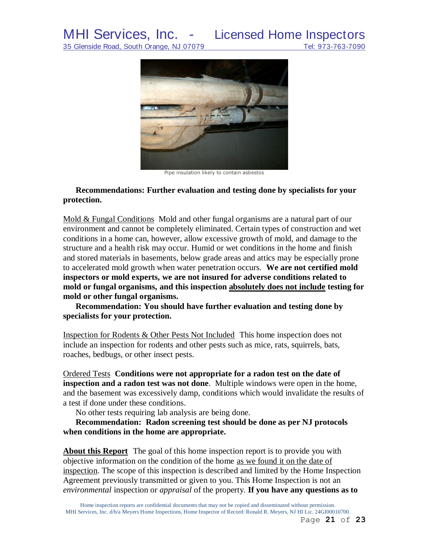

Pipe insulation likely to contain asbestos

#### **Recommendations: Further evaluation and testing done by specialists for your protection.**

Mold & Fungal Conditions Mold and other fungal organisms are a natural part of our environment and cannot be completely eliminated. Certain types of construction and wet conditions in a home can, however, allow excessive growth of mold, and damage to the structure and a health risk may occur. Humid or wet conditions in the home and finish and stored materials in basements, below grade areas and attics may be especially prone to accelerated mold growth when water penetration occurs. **We are not certified mold inspectors or mold experts, we are not insured for adverse conditions related to mold or fungal organisms, and this inspection absolutely does not include testing for mold or other fungal organisms.**

**Recommendation: You should have further evaluation and testing done by specialists for your protection.**

Inspection for Rodents & Other Pests Not Included This home inspection does not include an inspection for rodents and other pests such as mice, rats, squirrels, bats, roaches, bedbugs, or other insect pests.

Ordered Tests **Conditions were not appropriate for a radon test on the date of inspection and a radon test was not done**. Multiple windows were open in the home, and the basement was excessively damp, conditions which would invalidate the results of a test if done under these conditions.

No other tests requiring lab analysis are being done.

**Recommendation: Radon screening test should be done as per NJ protocols when conditions in the home are appropriate.**

**About this Report** The goal of this home inspection report is to provide you with objective information on the condition of the home as we found it on the date of inspection. The scope of this inspection is described and limited by the Home Inspection Agreement previously transmitted or given to you. This Home Inspection is not an *environmental* inspection or *appraisal* of the property. **If you have any questions as to**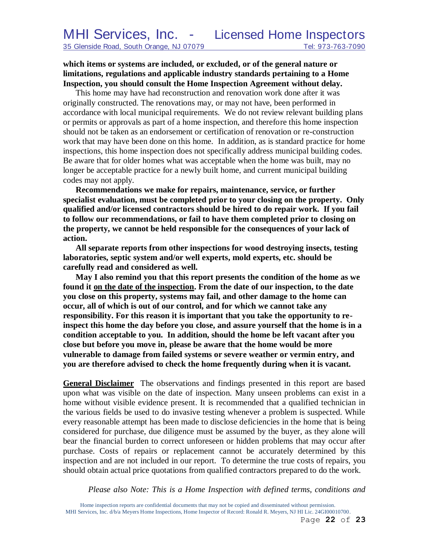**which items or systems are included, or excluded, or of the general nature or limitations, regulations and applicable industry standards pertaining to a Home Inspection, you should consult the Home Inspection Agreement without delay.**

This home may have had reconstruction and renovation work done after it was originally constructed. The renovations may, or may not have, been performed in accordance with local municipal requirements. We do not review relevant building plans or permits or approvals as part of a home inspection, and therefore this home inspection should not be taken as an endorsement or certification of renovation or re-construction work that may have been done on this home. In addition, as is standard practice for home inspections, this home inspection does not specifically address municipal building codes. Be aware that for older homes what was acceptable when the home was built, may no longer be acceptable practice for a newly built home, and current municipal building codes may not apply.

**Recommendations we make for repairs, maintenance, service, or further specialist evaluation, must be completed prior to your closing on the property. Only qualified and/or licensed contractors should be hired to do repair work. If you fail to follow our recommendations, or fail to have them completed prior to closing on the property, we cannot be held responsible for the consequences of your lack of action.**

**All separate reports from other inspections for wood destroying insects, testing laboratories, septic system and/or well experts, mold experts, etc. should be carefully read and considered as well.**

**May I also remind you that this report presents the condition of the home as we found it on the date of the inspection. From the date of our inspection, to the date you close on this property, systems may fail, and other damage to the home can occur, all of which is out of our control, and for which we cannot take any responsibility. For this reason it is important that you take the opportunity to reinspect this home the day before you close, and assure yourself that the home is in a condition acceptable to you. In addition, should the home be left vacant after you close but before you move in, please be aware that the home would be more vulnerable to damage from failed systems or severe weather or vermin entry, and you are therefore advised to check the home frequently during when it is vacant.**

**General Disclaimer** The observations and findings presented in this report are based upon what was visible on the date of inspection. Many unseen problems can exist in a home without visible evidence present. It is recommended that a qualified technician in the various fields be used to do invasive testing whenever a problem is suspected. While every reasonable attempt has been made to disclose deficiencies in the home that is being considered for purchase, due diligence must be assumed by the buyer, as they alone will bear the financial burden to correct unforeseen or hidden problems that may occur after purchase. Costs of repairs or replacement cannot be accurately determined by this inspection and are not included in our report. To determine the true costs of repairs, you should obtain actual price quotations from qualified contractors prepared to do the work.

*Please also Note: This is a Home Inspection with defined terms, conditions and*